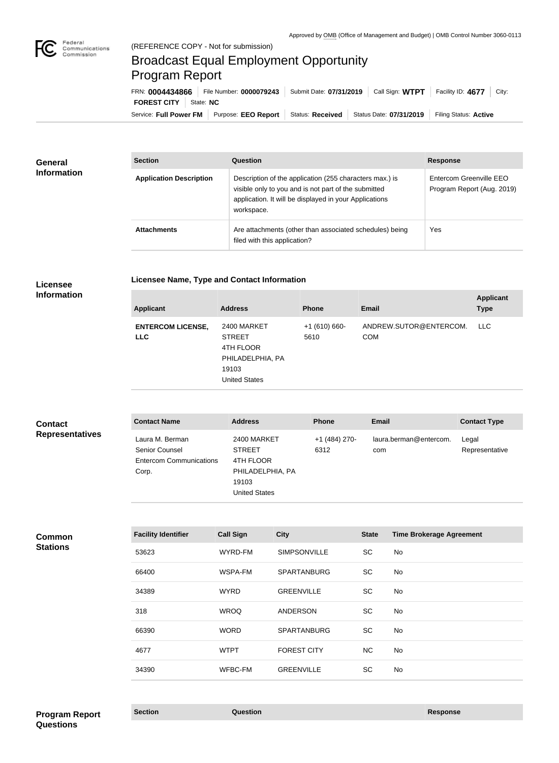

## Broadcast Equal Employment Opportunity Program Report

**Licensee Name, Type and Contact Information**

Service: Full Power FM Purpose: EEO Report | Status: Received | Status Date: 07/31/2019 | Filing Status: Active **FOREST CITY** State: **NC** FRN: **0004434866** File Number: **0000079243** Submit Date: **07/31/2019** Call Sign: **WTPT** Facility ID: **4677** City:

| <b>General</b><br><b>Information</b> | <b>Section</b>                 | Question                                                                                                                                                                                | <b>Response</b>                                       |
|--------------------------------------|--------------------------------|-----------------------------------------------------------------------------------------------------------------------------------------------------------------------------------------|-------------------------------------------------------|
|                                      | <b>Application Description</b> | Description of the application (255 characters max.) is<br>visible only to you and is not part of the submitted<br>application. It will be displayed in your Applications<br>workspace. | Entercom Greenville EEO<br>Program Report (Aug. 2019) |
|                                      | <b>Attachments</b>             | Are attachments (other than associated schedules) being<br>filed with this application?                                                                                                 | Yes                                                   |

#### **Licensee Information**

| <b>Applicant</b>                       | <b>Address</b>                                                                                 | <b>Phone</b>          | <b>Email</b>                         | <b>Applicant</b><br><b>Type</b> |
|----------------------------------------|------------------------------------------------------------------------------------------------|-----------------------|--------------------------------------|---------------------------------|
| <b>ENTERCOM LICENSE,</b><br><b>LLC</b> | 2400 MARKET<br><b>STREET</b><br>4TH FLOOR<br>PHILADELPHIA, PA<br>19103<br><b>United States</b> | $+1(610)660-$<br>5610 | ANDREW.SUTOR@ENTERCOM.<br><b>COM</b> | LLC.                            |
|                                        |                                                                                                |                       |                                      |                                 |

| <b>Contact</b>         | <b>Contact Name</b>                                                                 | <b>Address</b>                                                                                 | <b>Phone</b>          | <b>Email</b>                  | <b>Contact Type</b>     |
|------------------------|-------------------------------------------------------------------------------------|------------------------------------------------------------------------------------------------|-----------------------|-------------------------------|-------------------------|
| <b>Representatives</b> | Laura M. Berman<br><b>Senior Counsel</b><br><b>Entercom Communications</b><br>Corp. | 2400 MARKET<br><b>STREET</b><br>4TH FLOOR<br>PHILADELPHIA, PA<br>19103<br><b>United States</b> | +1 (484) 270-<br>6312 | laura.berman@entercom.<br>com | Legal<br>Representative |

# **Common**

| <b>Stations</b> |  |
|-----------------|--|
|                 |  |

| <b>Facility Identifier</b> | <b>Call Sign</b> | <b>City</b>         | <b>State</b> | <b>Time Brokerage Agreement</b> |
|----------------------------|------------------|---------------------|--------------|---------------------------------|
| 53623                      | WYRD-FM          | <b>SIMPSONVILLE</b> | <b>SC</b>    | No                              |
| 66400                      | WSPA-FM          | <b>SPARTANBURG</b>  | <b>SC</b>    | No                              |
| 34389                      | <b>WYRD</b>      | <b>GREENVILLE</b>   | <b>SC</b>    | No                              |
| 318                        | <b>WROQ</b>      | <b>ANDERSON</b>     | <b>SC</b>    | No                              |
| 66390                      | <b>WORD</b>      | <b>SPARTANBURG</b>  | <b>SC</b>    | No                              |
| 4677                       | <b>WTPT</b>      | <b>FOREST CITY</b>  | <b>NC</b>    | No                              |
| 34390                      | WFBC-FM          | <b>GREENVILLE</b>   | <b>SC</b>    | No                              |